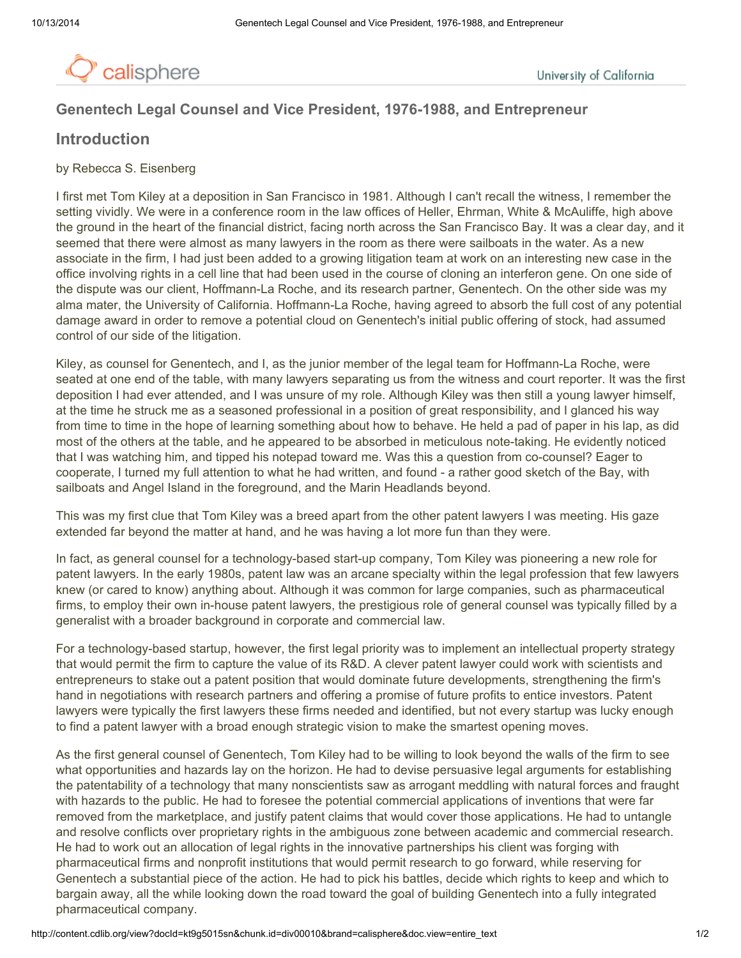

# Genentech Legal Counsel and Vice President, 1976-1988, and Entrepreneur

# Introduction

## by Rebecca S. Eisenberg

I first met Tom Kiley at a deposition in San Francisco in 1981. Although I can't recall the witness, I remember the setting vividly. We were in a conference room in the law offices of Heller, Ehrman, White & McAuliffe, high above the ground in the heart of the financial district, facing north across the San Francisco Bay. It was a clear day, and it seemed that there were almost as many lawyers in the room as there were sailboats in the water. As a new associate in the firm, I had just been added to a growing litigation team at work on an interesting new case in the office involving rights in a cell line that had been used in the course of cloning an interferon gene. On one side of the dispute was our client, Hoffmann-La Roche, and its research partner, Genentech. On the other side was my alma mater, the University of California. Hoffmann-La Roche, having agreed to absorb the full cost of any potential damage award in order to remove a potential cloud on Genentech's initial public offering of stock, had assumed control of our side of the litigation.

Kiley, as counsel for Genentech, and I, as the junior member of the legal team for Hoffmann-La Roche, were seated at one end of the table, with many lawyers separating us from the witness and court reporter. It was the first deposition I had ever attended, and I was unsure of my role. Although Kiley was then still a young lawyer himself, at the time he struck me as a seasoned professional in a position of great responsibility, and I glanced his way from time to time in the hope of learning something about how to behave. He held a pad of paper in his lap, as did most of the others at the table, and he appeared to be absorbed in meticulous note-taking. He evidently noticed that I was watching him, and tipped his notepad toward me. Was this a question from co-counsel? Eager to cooperate, I turned my full attention to what he had written, and found - a rather good sketch of the Bay, with sailboats and Angel Island in the foreground, and the Marin Headlands beyond.

This was my first clue that Tom Kiley was a breed apart from the other patent lawyers I was meeting. His gaze extended far beyond the matter at hand, and he was having a lot more fun than they were.

In fact, as general counsel for a technology-based start-up company, Tom Kiley was pioneering a new role for patent lawyers. In the early 1980s, patent law was an arcane specialty within the legal profession that few lawyers knew (or cared to know) anything about. Although it was common for large companies, such as pharmaceutical firms, to employ their own in-house patent lawyers, the prestigious role of general counsel was typically filled by a generalist with a broader background in corporate and commercial law.

For a technology-based startup, however, the first legal priority was to implement an intellectual property strategy that would permit the firm to capture the value of its R&D. A clever patent lawyer could work with scientists and entrepreneurs to stake out a patent position that would dominate future developments, strengthening the firm's hand in negotiations with research partners and offering a promise of future profits to entice investors. Patent lawyers were typically the first lawyers these firms needed and identified, but not every startup was lucky enough to find a patent lawyer with a broad enough strategic vision to make the smartest opening moves.

As the first general counsel of Genentech, Tom Kiley had to be willing to look beyond the walls of the firm to see what opportunities and hazards lay on the horizon. He had to devise persuasive legal arguments for establishing the patentability of a technology that many nonscientists saw as arrogant meddling with natural forces and fraught with hazards to the public. He had to foresee the potential commercial applications of inventions that were far removed from the marketplace, and justify patent claims that would cover those applications. He had to untangle and resolve conflicts over proprietary rights in the ambiguous zone between academic and commercial research. He had to work out an allocation of legal rights in the innovative partnerships his client was forging with pharmaceutical firms and nonprofit institutions that would permit research to go forward, while reserving for Genentech a substantial piece of the action. He had to pick his battles, decide which rights to keep and which to bargain away, all the while looking down the road toward the goal of building Genentech into a fully integrated pharmaceutical company.